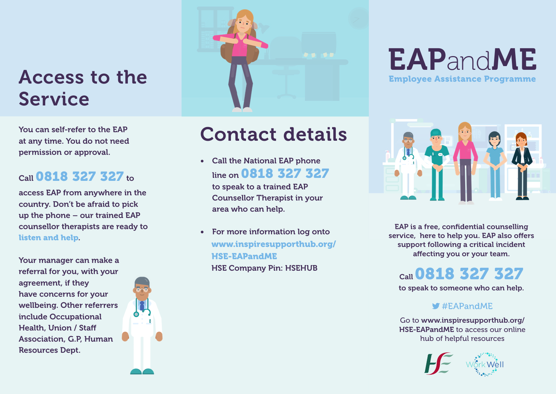## Access to the Service

You can self-refer to the EAP at any time. You do not need permission or approval.

#### Call 0818 327 327 to

access EAP from anywhere in the country. Don't be afraid to pick up the phone – our trained EAP counsellor therapists are ready to listen and help.

Your manager can make a referral for you, with your agreement, if they have concerns for your wellbeing. Other referrers include Occupational Health, Union / Staff Association, G.P, Human Resources Dept.





# Contact details

• Call the National EAP phone line on 0818 327 327

to speak to a trained EAP Counsellor Therapist in your area who can help.

For more information log onto www.inspiresupporthub.org/ HSE-EAPandME HSE Company Pin: HSEHUB

### EAPandME Employee Assistance Programme



EAP is a free, confidential counselling service, here to help you. EAP also offers support following a critical incident affecting you or your team.

Call0818 327 327

to speak to someone who can help.

#### $\blacktriangleright$  #EAPandME

Go to www.inspiresupporthub.org/ HSE-EAPandME to access our online hub of helpful resources